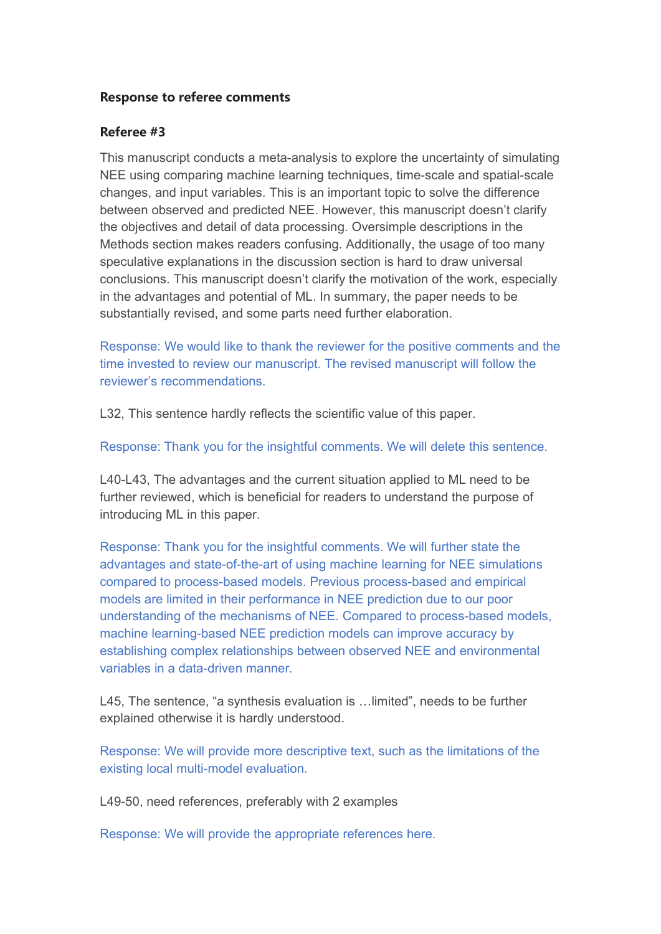## **Response to referee comments**

## **Referee #3**

This manuscript conducts a meta-analysis to explore the uncertainty of simulating NEE using comparing machine learning techniques, time-scale and spatial-scale changes, and input variables. This is an important topic to solve the difference between observed and predicted NEE. However, this manuscript doesn't clarify the objectives and detail of data processing. Oversimple descriptions in the Methods section makes readers confusing. Additionally, the usage of too many speculative explanations in the discussion section is hard to draw universal conclusions. This manuscript doesn't clarify the motivation of the work, especially in the advantages and potential of ML. In summary, the paper needs to be substantially revised, and some parts need further elaboration.

Response: We would like to thank the reviewer for the positive comments and the time invested to review our manuscript. The revised manuscript will follow the reviewer's recommendations.

L32, This sentence hardly reflects the scientific value of this paper.

Response: Thank you for the insightful comments. We will delete this sentence.

L40-L43, The advantages and the current situation applied to ML need to be further reviewed, which is beneficial for readers to understand the purpose of introducing ML in this paper.

Response: Thank you for the insightful comments. We will further state the advantages and state-of-the-art of using machine learning for NEE simulations compared to process-based models. Previous process-based and empirical models are limited in their performance in NEE prediction due to our poor understanding of the mechanisms of NEE. Compared to process-based models, machine learning-based NEE prediction models can improve accuracy by establishing complex relationships between observed NEE and environmental variables in a data-driven manner.

L45, The sentence, "a synthesis evaluation is …limited", needs to be further explained otherwise it is hardly understood.

Response: We will provide more descriptive text, such as the limitations of the existing local multi-model evaluation.

L49-50, need references, preferably with 2 examples

Response: We will provide the appropriate references here.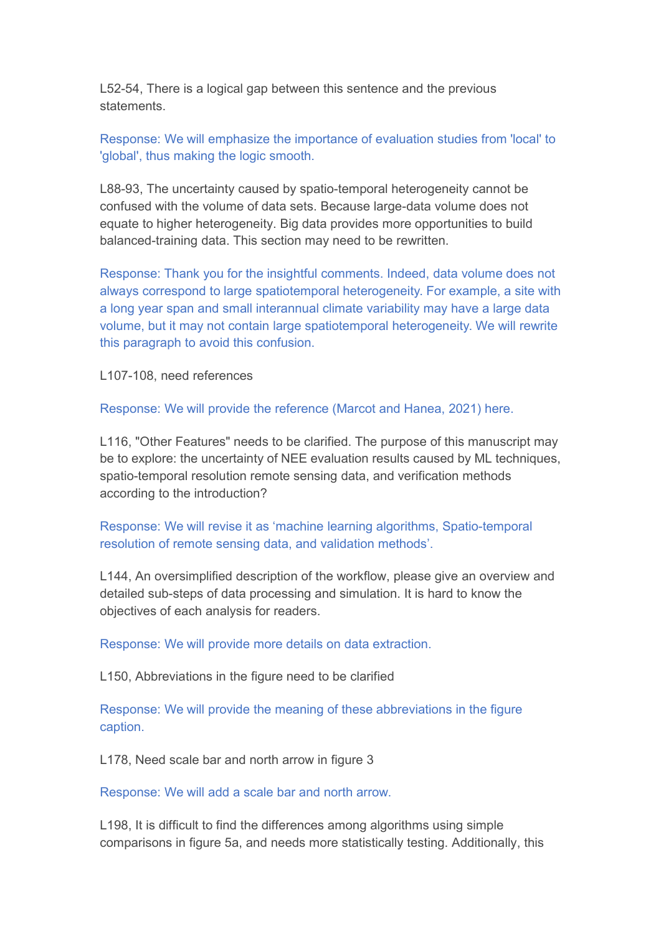L52-54, There is a logical gap between this sentence and the previous statements.

Response: We will emphasize the importance of evaluation studies from 'local' to 'global', thus making the logic smooth.

L88-93, The uncertainty caused by spatio-temporal heterogeneity cannot be confused with the volume of data sets. Because large-data volume does not equate to higher heterogeneity. Big data provides more opportunities to build balanced-training data. This section may need to be rewritten.

Response: Thank you for the insightful comments. Indeed, data volume does not always correspond to large spatiotemporal heterogeneity. For example, a site with a long year span and small interannual climate variability may have a large data volume, but it may not contain large spatiotemporal heterogeneity. We will rewrite this paragraph to avoid this confusion.

L107-108, need references

Response: We will provide the reference (Marcot and Hanea, 2021) here.

L116, "Other Features" needs to be clarified. The purpose of this manuscript may be to explore: the uncertainty of NEE evaluation results caused by ML techniques, spatio-temporal resolution remote sensing data, and verification methods according to the introduction?

Response: We will revise it as 'machine learning algorithms, Spatio-temporal resolution of remote sensing data, and validation methods'.

L144, An oversimplified description of the workflow, please give an overview and detailed sub-steps of data processing and simulation. It is hard to know the objectives of each analysis for readers.

Response: We will provide more details on data extraction.

L150, Abbreviations in the figure need to be clarified

Response: We will provide the meaning of these abbreviations in the figure caption.

L178, Need scale bar and north arrow in figure 3

Response: We will add a scale bar and north arrow.

L198, It is difficult to find the differences among algorithms using simple comparisons in figure 5a, and needs more statistically testing. Additionally, this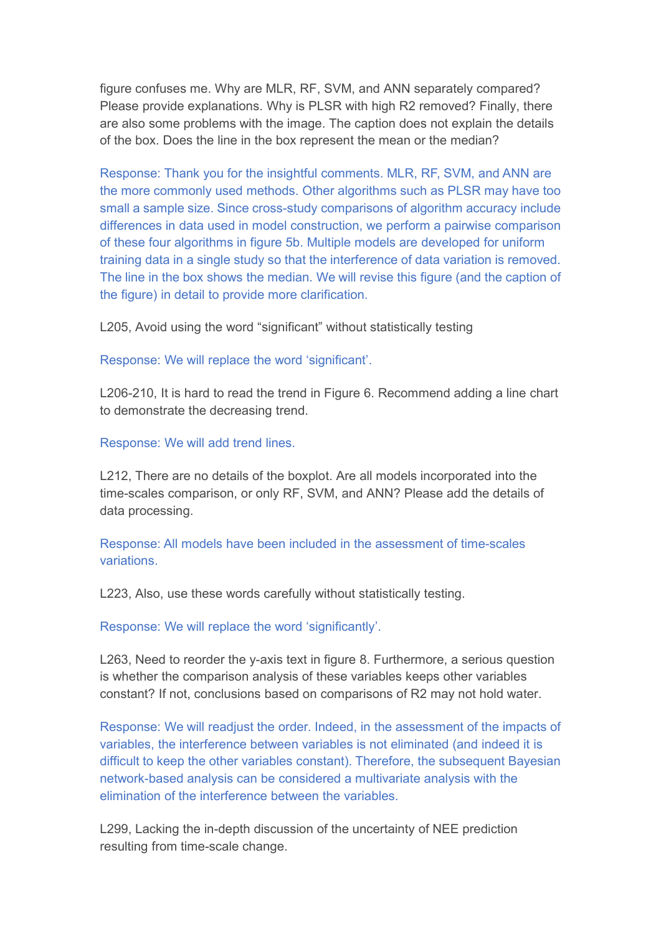figure confuses me. Why are MLR, RF, SVM, and ANN separately compared? Please provide explanations. Why is PLSR with high R2 removed? Finally, there are also some problems with the image. The caption does not explain the details of the box. Does the line in the box represent the mean or the median?

Response: Thank you for the insightful comments. MLR, RF, SVM, and ANN are the more commonly used methods. Other algorithms such as PLSR may have too small a sample size. Since cross-study comparisons of algorithm accuracy include differences in data used in model construction, we perform a pairwise comparison of these four algorithms in figure 5b. Multiple models are developed for uniform training data in a single study so that the interference of data variation is removed. The line in the box shows the median. We will revise this figure (and the caption of the figure) in detail to provide more clarification.

L205, Avoid using the word "significant" without statistically testing

Response: We will replace the word 'significant'.

L206-210, It is hard to read the trend in Figure 6. Recommend adding a line chart to demonstrate the decreasing trend.

Response: We will add trend lines.

L212, There are no details of the boxplot. Are all models incorporated into the time-scales comparison, or only RF, SVM, and ANN? Please add the details of data processing.

Response: All models have been included in the assessment of time-scales variations.

L223, Also, use these words carefully without statistically testing.

Response: We will replace the word 'significantly'.

L263, Need to reorder the y-axis text in figure 8. Furthermore, a serious question is whether the comparison analysis of these variables keeps other variables constant? If not, conclusions based on comparisons of R2 may not hold water.

Response: We will readjust the order. Indeed, in the assessment of the impacts of variables, the interference between variables is not eliminated (and indeed it is difficult to keep the other variables constant). Therefore, the subsequent Bayesian network-based analysis can be considered a multivariate analysis with the elimination of the interference between the variables.

L299, Lacking the in-depth discussion of the uncertainty of NEE prediction resulting from time-scale change.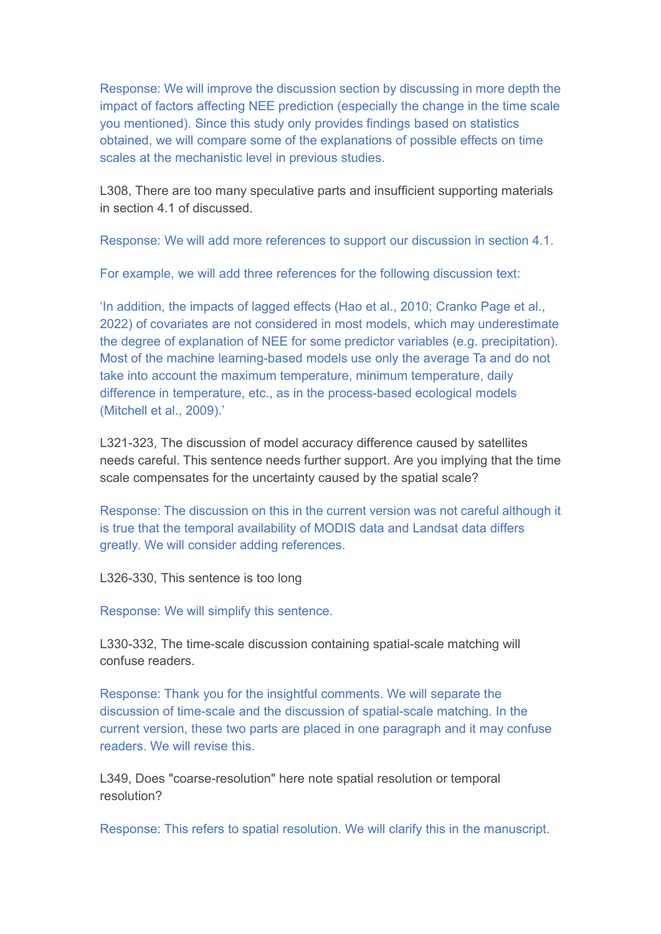Response: We will improve the discussion section by discussing in more depth the impact of factors affecting NEE prediction (especially the change in the time scale you mentioned). Since this study only provides findings based on statistics obtained, we will compare some of the explanations of possible effects on time scales at the mechanistic level in previous studies.

L308, There are too many speculative parts and insufficient supporting materials in section 4.1 of discussed.

Response: We will add more references to support our discussion in section 4.1.

For example, we will add three references for the following discussion text:

'In addition, the impacts of lagged effects (Hao et al., 2010; Cranko Page et al., 2022) of covariates are not considered in most models, which may underestimate the degree of explanation of NEE for some predictor variables (e.g. precipitation). Most of the machine learning-based models use only the average Ta and do not take into account the maximum temperature, minimum temperature, daily difference in temperature, etc., as in the process-based ecological models (Mitchell et al., 2009).'

L321-323, The discussion of model accuracy difference caused by satellites needs careful. This sentence needs further support. Are you implying that the time scale compensates for the uncertainty caused by the spatial scale?

Response: The discussion on this in the current version was not careful although it is true that the temporal availability of MODIS data and Landsat data differs greatly. We will consider adding references.<br>L326-330, This sentence is too long

Response: We will simplify this sentence.

L330-332, The time-scale discussion containing spatial-scale matching will confuse readers.

Response: Thank you for the insightful comments. We will separate the discussion of time-scale and the discussion of spatial-scale matching. In the current version, these two parts are placed in one paragraph and it may confuse readers. We will revise this.

L349, Does "coarse-resolution" here note spatial resolution or temporal resolution?

Response: This refers to spatial resolution. We will clarify this in the manuscript.